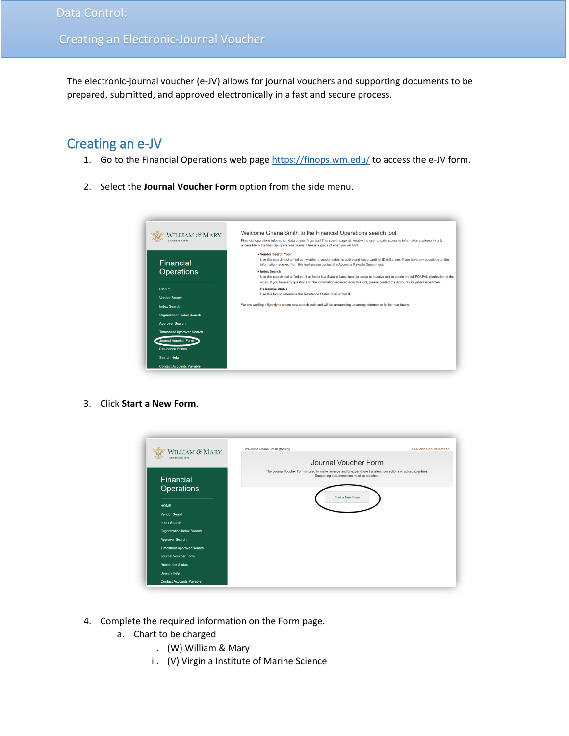The electronic-journal voucher (e-JV) allows for journal vouchers and supporting documents to be prepared, submitted, and approved electronically in a fast and secure process.

## Creating an e-JV

- 1. Go to the Financial Operations web pag[e https://finops.wm.edu/](https://finops.wm.edu/) to access the e-JV form.
- 2. Select the **Journal Voucher Form** option from the side menu.



3. Click **Start a New Form**.



- 4. Complete the required information on the Form page.
	- a. Chart to be charged
		- i. (W) William & Mary
		- ii. (V) Virginia Institute of Marine Science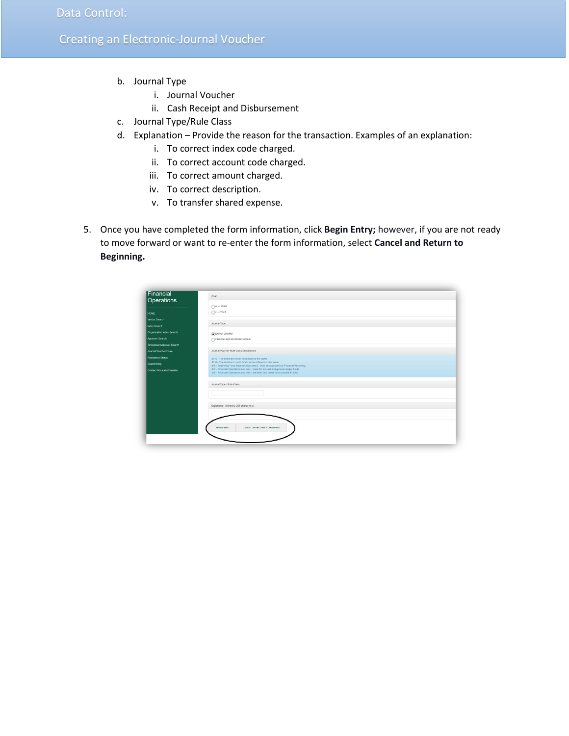- b. Journal Type
	- i. Journal Voucher
	- ii. Cash Receipt and Disbursement
- c. Journal Type/Rule Class
- d. Explanation Provide the reason for the transaction. Examples of an explanation:
	- i. To correct index code charged.
	- ii. To correct account code charged.
	- iii. To correct amount charged.
	- iv. To correct description.
	- v. To transfer shared expense.
- 5. Once you have completed the form information, click **Begin Entry;** however, if you are not ready to move forward or want to re-enter the form information, select **Cancel and Return to Beginning.**

| Financial<br>Operations         | Chart                                                                                                                                              |
|---------------------------------|----------------------------------------------------------------------------------------------------------------------------------------------------|
|                                 | $OW -$ W&M                                                                                                                                         |
| <b>HOME</b>                     | $QV - VMS$                                                                                                                                         |
| Vendor Search                   |                                                                                                                                                    |
| <b>Index Search</b>             | Journal Type                                                                                                                                       |
| Organization Index Search       | OJournal Voucher                                                                                                                                   |
| Approver Search                 | Cash Receipt and Disbursement                                                                                                                      |
| Timesheet Approver Search       |                                                                                                                                                    |
| Journal Voucher Form            | Journal Voucher Rule Class Descriptions                                                                                                            |
| <b>Residence Status</b>         | JE15 - The debit and credit fund must be the same                                                                                                  |
| Search Help                     | JE16 - The debit and credit fund can be different or the same<br>JE6 - Beginning Fund Balance Adjustment - Must be approved by Financial Reporting |
| <b>Contact Accounts Payable</b> | JEX - Financial Operations use only - Used for accrual and general ledger funds                                                                    |
|                                 | JXB - Financial Operations use only - the debit and credit fund must be B11000                                                                     |
|                                 | Journal Type / Rule Class                                                                                                                          |
|                                 |                                                                                                                                                    |
|                                 |                                                                                                                                                    |
|                                 | Explanation (limited to 256 characters)                                                                                                            |
|                                 |                                                                                                                                                    |
|                                 |                                                                                                                                                    |
|                                 |                                                                                                                                                    |
|                                 | <b>BEGIN ENTRY</b><br>CANCEL AND RETURN TO BEGINNING                                                                                               |
|                                 |                                                                                                                                                    |
|                                 |                                                                                                                                                    |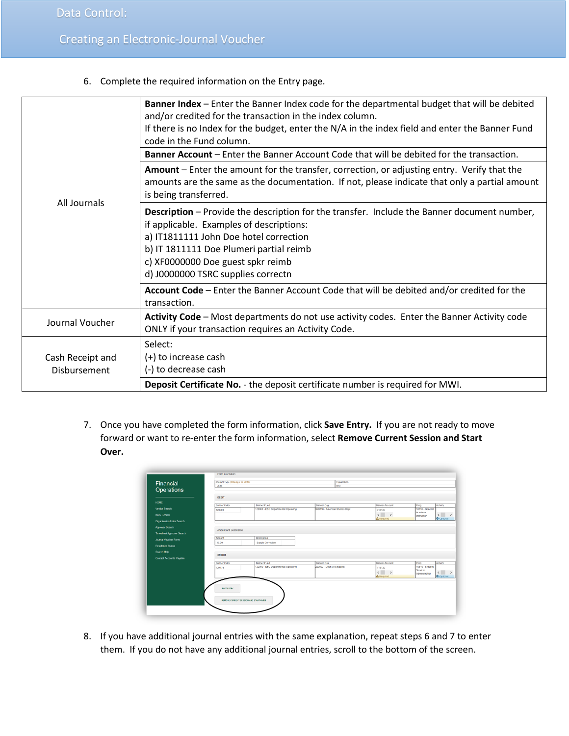6. Complete the required information on the Entry page.

|                                  | Banner Index - Enter the Banner Index code for the departmental budget that will be debited<br>and/or credited for the transaction in the index column.<br>If there is no Index for the budget, enter the N/A in the index field and enter the Banner Fund<br>code in the Fund column.                         |
|----------------------------------|----------------------------------------------------------------------------------------------------------------------------------------------------------------------------------------------------------------------------------------------------------------------------------------------------------------|
|                                  | Banner Account - Enter the Banner Account Code that will be debited for the transaction.                                                                                                                                                                                                                       |
|                                  | Amount – Enter the amount for the transfer, correction, or adjusting entry. Verify that the<br>amounts are the same as the documentation. If not, please indicate that only a partial amount<br>is being transferred.                                                                                          |
| All Journals                     | <b>Description</b> – Provide the description for the transfer. Include the Banner document number,<br>if applicable. Examples of descriptions:<br>a) IT1811111 John Doe hotel correction<br>b) IT 1811111 Doe Plumeri partial reimb<br>c) XF0000000 Doe guest spkr reimb<br>d) J0000000 TSRC supplies correctn |
|                                  | Account Code - Enter the Banner Account Code that will be debited and/or credited for the<br>transaction.                                                                                                                                                                                                      |
| Journal Voucher                  | Activity Code - Most departments do not use activity codes. Enter the Banner Activity code<br>ONLY if your transaction requires an Activity Code.                                                                                                                                                              |
| Cash Receipt and<br>Disbursement | Select:<br>(+) to increase cash<br>(-) to decrease cash                                                                                                                                                                                                                                                        |
|                                  | Deposit Certificate No. - the deposit certificate number is required for MWI.                                                                                                                                                                                                                                  |

7. Once you have completed the form information, click **Save Entry.** If you are not ready to move forward or want to re-enter the form information, select **Remove Current Session and Start Over.**

| Operations                       |                        |                                     |                                |                            |                                           |
|----------------------------------|------------------------|-------------------------------------|--------------------------------|----------------------------|-------------------------------------------|
|                                  | <b>DEBIT</b>           |                                     |                                |                            |                                           |
| HOME                             | <b>Banner Index</b>    | <b>Banner Fund</b>                  | <b>Banner Org</b>              | <b>Banner Account</b>      | Prog<br>Activity                          |
| <b>Vendor Search</b>             | 120001                 | 122000 - E&G Departmental Operating | SKD110 - American Studies Dept | 713120                     | 10110 - General<br>Academic               |
| <b>Index Search</b>              |                        |                                     |                                | $\langle$                  | $\leftarrow$ ><br>Instruction             |
| <b>Organization Index Search</b> |                        |                                     |                                | A Required                 | <b>O</b> Optional                         |
| <b>Approver Search</b>           |                        |                                     |                                |                            |                                           |
|                                  | Amount and Description |                                     |                                |                            |                                           |
| <b>Timesheet Approver Search</b> | Amount                 | Description                         |                                |                            |                                           |
| <b>Journal Voucher Form</b>      | 10.00                  | Supply Correction                   |                                |                            |                                           |
| <b>Residence Status</b>          |                        |                                     |                                |                            |                                           |
| Search Help                      |                        |                                     |                                |                            |                                           |
| <b>Contact Accounts Payable</b>  | CREDIT                 |                                     |                                |                            |                                           |
|                                  | <b>Banner Index</b>    | <b>Banner Fund</b>                  | <b>Banner Org</b>              | <b>Banner Account</b>      | Prog<br>Activity                          |
|                                  | 120133                 | 122000 - E&G Departmental Operating | 220000 - Dean Of Students      | 713120                     | 10510 - Student                           |
|                                  |                        |                                     |                                | $\leftarrow$ $\rightarrow$ | Services<br>$\langle$ ><br>Administration |
|                                  |                        |                                     |                                | A Required                 | <b>O</b> Optional                         |
|                                  |                        |                                     |                                |                            |                                           |
|                                  | <b>SAVE ENTRY</b>      |                                     |                                |                            |                                           |
|                                  |                        |                                     |                                |                            |                                           |
|                                  |                        |                                     |                                |                            |                                           |

8. If you have additional journal entries with the same explanation, repeat steps 6 and 7 to enter them. If you do not have any additional journal entries, scroll to the bottom of the screen.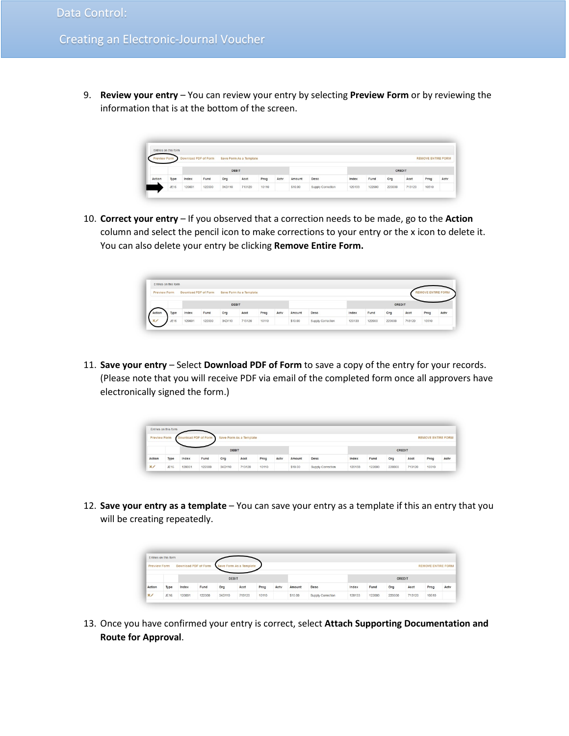9. **Review your entry** – You can review your entry by selecting **Preview Form** or by reviewing the information that is at the bottom of the screen.

|        |             | Download PDF of Form |        |        | Save Form As a Template |       |      |         |                   |        |        |        |        | <b>REMOVE ENTIRE FORM</b> |      |
|--------|-------------|----------------------|--------|--------|-------------------------|-------|------|---------|-------------------|--------|--------|--------|--------|---------------------------|------|
|        |             |                      |        |        |                         |       |      |         |                   |        |        |        |        |                           |      |
|        |             |                      |        | DEBIT  |                         |       |      |         |                   |        |        | CREDIT |        |                           |      |
| Action | Type        | Index                | Fund   | Org    | Acct                    | Prog  | Actv | Amount  | Desc              | Index  | Fund   | Org    | Acct   | Prog                      | Actv |
|        | <b>JE16</b> | 120001               | 122000 | 3KD110 | 713120                  | 10110 |      | \$10.00 | Supply Correction | 120133 | 122000 | 220000 | 713120 | 10510                     |      |

10. **Correct your entry** – If you observed that a correction needs to be made, go to the **Action** column and select the pencil icon to make corrections to your entry or the x icon to delete it. You can also delete your entry be clicking **Remove Entire Form.**

|                     | Entries on this form |                      |        |        |                         |       |      |         |                   |        |        |        |        |                         |      |
|---------------------|----------------------|----------------------|--------|--------|-------------------------|-------|------|---------|-------------------|--------|--------|--------|--------|-------------------------|------|
| <b>Preview Form</b> |                      | Download PDF of Form |        |        | Save Form As a Template |       |      |         |                   |        |        |        |        | <b>EMOVE ENTIRE FOR</b> |      |
|                     |                      |                      |        |        |                         |       |      |         |                   |        |        |        |        |                         |      |
|                     |                      |                      |        | DEBIT  |                         |       |      |         |                   |        |        | CREDIT |        |                         |      |
| Action              | Type                 | Index                | Fund   | Org    | Acct                    | Prog  | Actv | Amount  | Desc              | Index  | Fund   | Org    | Acct   | Prog                    | Actv |
|                     | JE16                 | 120001               | 122000 | 3KD110 | 713120                  | 10110 |      | \$10.00 | Supply Correction | 120133 | 122000 | 220000 | 713120 | 10510                   |      |

11. **Save your entry** – Select **Download PDF of Form** to save a copy of the entry for your records. (Please note that you will receive PDF via email of the completed form once all approvers have electronically signed the form.)

| <b>Preview Form</b> |             | Download PDF of Form |        |              | Save Form As a Template |       |      |         |                   |        |        |        |        | <b>REMOVE ENTIRE FORM</b> |      |
|---------------------|-------------|----------------------|--------|--------------|-------------------------|-------|------|---------|-------------------|--------|--------|--------|--------|---------------------------|------|
|                     |             |                      |        |              |                         |       |      |         |                   |        |        |        |        |                           |      |
|                     |             |                      |        | <b>DEBIT</b> |                         |       |      |         |                   |        |        | CREDIT |        |                           |      |
| Action              | Type        | Index                | Fund   | Org          | Acct                    | Prog  | Actv | Amount  | Desc              | Index  | Fund   | Org    | Acct   | Prog                      | Actv |
| $\mathbf{x}_{\ell}$ | <b>JE16</b> | 120001               | 122000 | 3KD110       | 713120                  | 10110 |      | \$10.00 | Supply Correction | 120133 | 122000 | 220000 | 713120 | 10510                     |      |

12. **Save your entry as a template** – You can save your entry as a template if this an entry that you will be creating repeatedly.

|                     | Entries on this form |                      |        |              |                         |       |      |         |                   |        |        |        |        |                           |      |
|---------------------|----------------------|----------------------|--------|--------------|-------------------------|-------|------|---------|-------------------|--------|--------|--------|--------|---------------------------|------|
| <b>Preview Form</b> |                      | Download PDF of Form |        |              | Save Form As a Template |       |      |         |                   |        |        |        |        | <b>REMOVE ENTIRE FORM</b> |      |
|                     |                      |                      |        | <b>DEBIT</b> |                         |       |      |         |                   |        |        | CREDIT |        |                           |      |
| Action              | Type                 | Index                | Fund   | Org          | Acct                    | Prog  | Actv | Amount  | <b>Desc</b>       | Index  | Fund   | Org    | Acct   | Prog                      | Acty |
| $\times$            | JE16                 | 120001               | 122000 | 3KD110       | 713120                  | 10110 |      | \$10.00 | Supply Correction | 120133 | 122000 | 220000 | 713120 | 10510                     |      |

13. Once you have confirmed your entry is correct, select **Attach Supporting Documentation and Route for Approval**.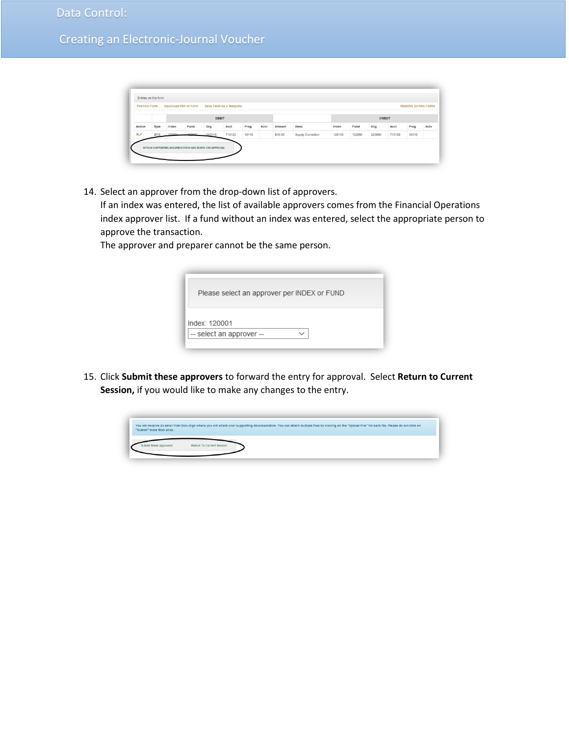|        |      |             |                | DEBIT  |        |       |      |         |                   |        |        | CREDIT |        |       |      |
|--------|------|-------------|----------------|--------|--------|-------|------|---------|-------------------|--------|--------|--------|--------|-------|------|
| Action | Type | Index       | Fund           | Org    | Acct   | Prog  | Actv | Amount  | Desc              | Index  | Fund   | Org    | Acct   | Prog  | Actv |
| x      |      | JE16 120004 | n <sub>0</sub> | 3KD110 | 713120 | 10110 |      | \$10.00 | Supply Correction | 120133 | 122000 | 220000 | 713120 | 10510 |      |

14. Select an approver from the drop-down list of approvers.

If an index was entered, the list of available approvers comes from the Financial Operations index approver list. If a fund without an index was entered, select the appropriate person to approve the transaction.

The approver and preparer cannot be the same person.

| Please select an approver per INDEX or FUND |  |
|---------------------------------------------|--|
| Index: 120001                               |  |
| -- select an approver --                    |  |

15. Click **Submit these approvers** to forward the entry for approval. Select **Return to Current Session,** if you would like to make any changes to the entry.

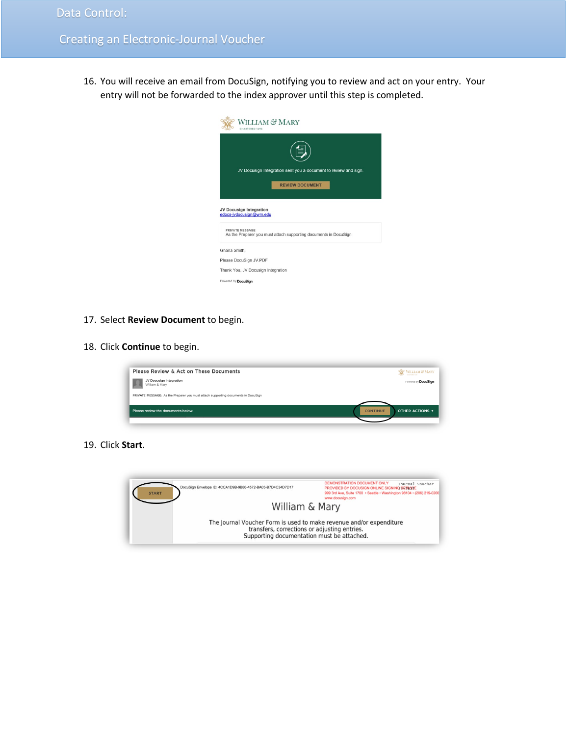16. You will receive an email from DocuSign, notifying you to review and act on your entry. Your entry will not be forwarded to the index approver until this step is completed.



- 17. Select **Review Document** to begin.
- 18. Click **Continue** to begin.



19. Click **Start**.

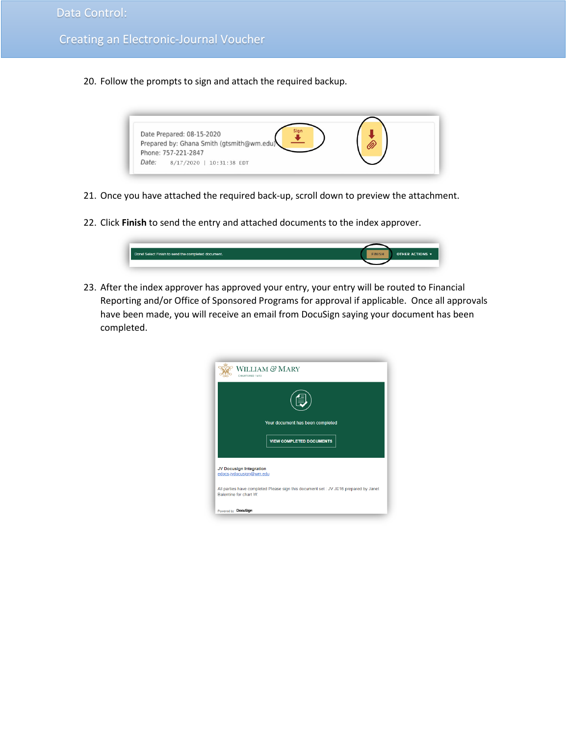20. Follow the prompts to sign and attach the required backup.



- 21. Once you have attached the required back-up, scroll down to preview the attachment.
- 22. Click **Finish** to send the entry and attached documents to the index approver.



23. After the index approver has approved your entry, your entry will be routed to Financial Reporting and/or Office of Sponsored Programs for approval if applicable. Once all approvals have been made, you will receive an email from DocuSign saying your document has been completed.

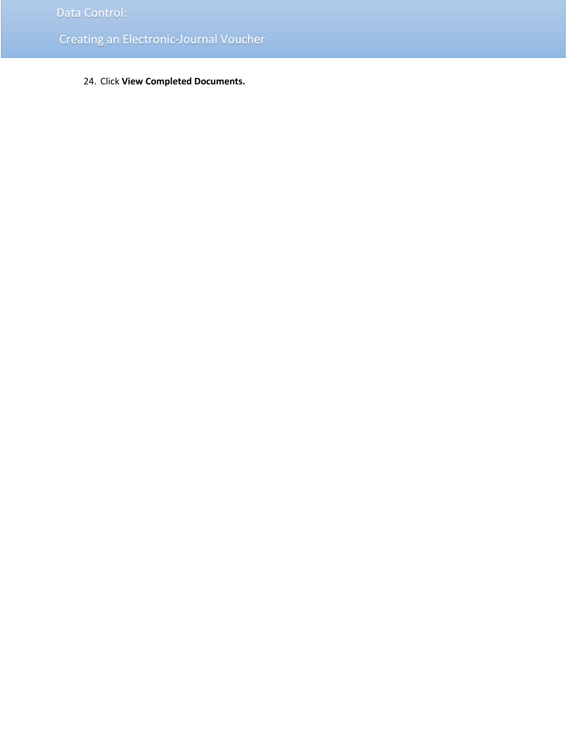24. Click **View Completed Documents.**